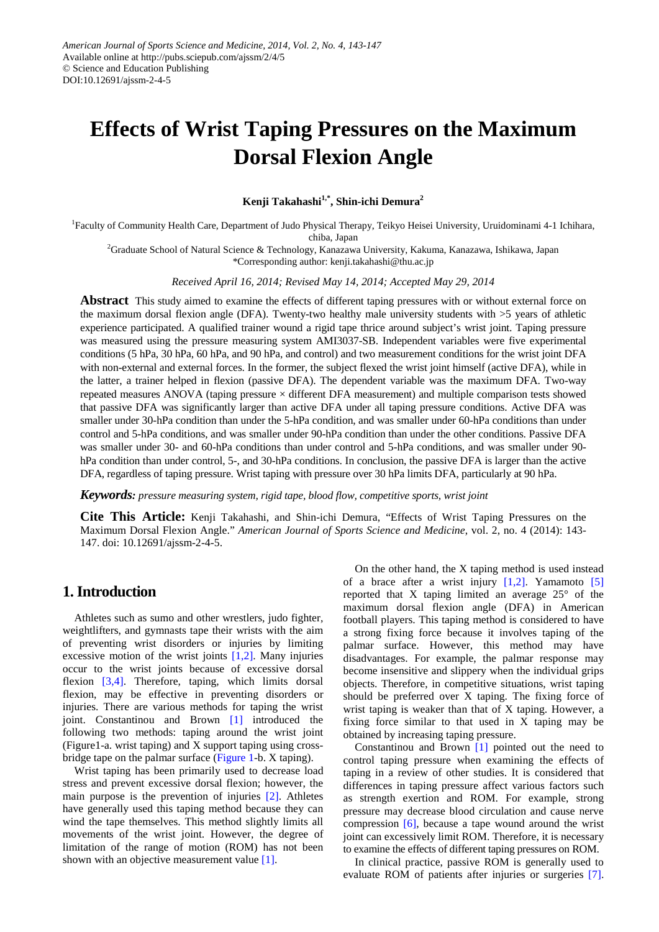# **Effects of Wrist Taping Pressures on the Maximum Dorsal Flexion Angle**

**Kenji Takahashi1,\*, Shin-ichi Demura2**

<sup>1</sup>Faculty of Community Health Care, Department of Judo Physical Therapy, Teikyo Heisei University, Uruidominami 4-1 Ichihara, chiba, Japan

2 Graduate School of Natural Science & Technology, Kanazawa University, Kakuma, Kanazawa, Ishikawa, Japan \*Corresponding author: kenji.takahashi@thu.ac.jp

*Received April 16, 2014; Revised May 14, 2014; Accepted May 29, 2014*

**Abstract** This study aimed to examine the effects of different taping pressures with or without external force on the maximum dorsal flexion angle (DFA). Twenty-two healthy male university students with >5 years of athletic experience participated. A qualified trainer wound a rigid tape thrice around subject's wrist joint. Taping pressure was measured using the pressure measuring system AMI3037-SB. Independent variables were five experimental conditions (5 hPa, 30 hPa, 60 hPa, and 90 hPa, and control) and two measurement conditions for the wrist joint DFA with non-external and external forces. In the former, the subject flexed the wrist joint himself (active DFA), while in the latter, a trainer helped in flexion (passive DFA). The dependent variable was the maximum DFA. Two-way repeated measures ANOVA (taping pressure × different DFA measurement) and multiple comparison tests showed that passive DFA was significantly larger than active DFA under all taping pressure conditions. Active DFA was smaller under 30-hPa condition than under the 5-hPa condition, and was smaller under 60-hPa conditions than under control and 5-hPa conditions, and was smaller under 90-hPa condition than under the other conditions. Passive DFA was smaller under 30- and 60-hPa conditions than under control and 5-hPa conditions, and was smaller under 90 hPa condition than under control, 5-, and 30-hPa conditions. In conclusion, the passive DFA is larger than the active DFA, regardless of taping pressure. Wrist taping with pressure over 30 hPa limits DFA, particularly at 90 hPa.

*Keywords: pressure measuring system, rigid tape, blood flow, competitive sports, wrist joint*

**Cite This Article:** Kenji Takahashi, and Shin-ichi Demura, "Effects of Wrist Taping Pressures on the Maximum Dorsal Flexion Angle." *American Journal of Sports Science and Medicine*, vol. 2, no. 4 (2014): 143- 147. doi: 10.12691/ajssm-2-4-5.

## **1. Introduction**

Athletes such as sumo and other wrestlers, judo fighter, weightlifters, and gymnasts tape their wrists with the aim of preventing wrist disorders or injuries by limiting excessive motion of the wrist joints  $[1,2]$ . Many injuries occur to the wrist joints because of excessive dorsal flexion [\[3,4\].](#page-4-1) Therefore, taping, which limits dorsal flexion, may be effective in preventing disorders or injuries. There are various methods for taping the wrist joint. Constantinou and Brown [\[1\]](#page-4-0) introduced the following two methods: taping around the wrist joint (Figure1-a. wrist taping) and X support taping using crossbridge tape on the palmar surface [\(Figure 1-](#page-1-0)b. X taping).

Wrist taping has been primarily used to decrease load stress and prevent excessive dorsal flexion; however, the main purpose is the prevention of injuries [\[2\].](#page-4-2) Athletes have generally used this taping method because they can wind the tape themselves. This method slightly limits all movements of the wrist joint. However, the degree of limitation of the range of motion (ROM) has not been shown with an objective measurement value [\[1\].](#page-4-0)

On the other hand, the X taping method is used instead of a brace after a wrist injury  $[1,2]$ . Yamamoto [\[5\]](#page-4-3) reported that X taping limited an average 25° of the maximum dorsal flexion angle (DFA) in American football players. This taping method is considered to have a strong fixing force because it involves taping of the palmar surface. However, this method may have disadvantages. For example, the palmar response may become insensitive and slippery when the individual grips objects. Therefore, in competitive situations, wrist taping should be preferred over X taping. The fixing force of wrist taping is weaker than that of X taping. However, a fixing force similar to that used in X taping may be obtained by increasing taping pressure.

Constantinou and Brown [\[1\]](#page-4-0) pointed out the need to control taping pressure when examining the effects of taping in a review of other studies. It is considered that differences in taping pressure affect various factors such as strength exertion and ROM. For example, strong pressure may decrease blood circulation and cause nerve compression  $[6]$ , because a tape wound around the wrist joint can excessively limit ROM. Therefore, it is necessary to examine the effects of different taping pressures on ROM.

In clinical practice, passive ROM is generally used to evaluate ROM of patients after injuries or surgeries [\[7\].](#page-4-5)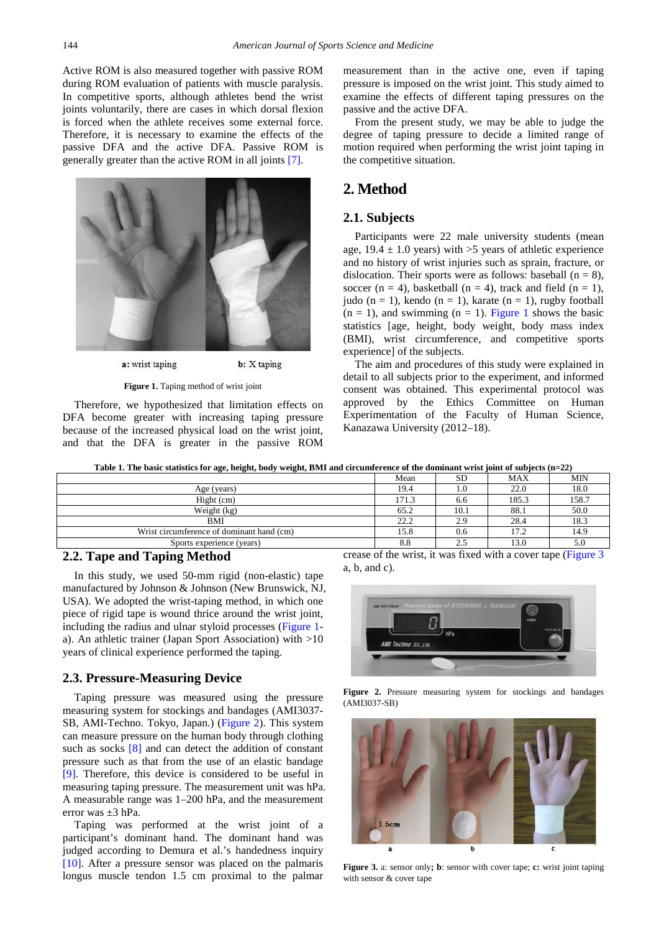Active ROM is also measured together with passive ROM during ROM evaluation of patients with muscle paralysis. In competitive sports, although athletes bend the wrist joints voluntarily, there are cases in which dorsal flexion is forced when the athlete receives some external force. Therefore, it is necessary to examine the effects of the passive DFA and the active DFA. Passive ROM is generally greater than the active ROM in all joints [\[7\].](#page-4-5)

<span id="page-1-0"></span>

a: wrist taping

**b**: X taping

**Figure 1.** Taping method of wrist joint

Therefore, we hypothesized that limitation effects on DFA become greater with increasing taping pressure because of the increased physical load on the wrist joint, and that the DFA is greater in the passive ROM

measurement than in the active one, even if taping pressure is imposed on the wrist joint. This study aimed to examine the effects of different taping pressures on the passive and the active DFA.

From the present study, we may be able to judge the degree of taping pressure to decide a limited range of motion required when performing the wrist joint taping in the competitive situation.

# **2. Method**

## **2.1. Subjects**

Participants were 22 male university students (mean age,  $19.4 \pm 1.0$  years) with  $>5$  years of athletic experience and no history of wrist injuries such as sprain, fracture, or dislocation. Their sports were as follows: baseball  $(n = 8)$ , soccer (n = 4), basketball (n = 4), track and field (n = 1), judo (n = 1), kendo (n = 1), karate (n = 1), rugby football  $(n = 1)$ , and swimming  $(n = 1)$ . [Figure 1](#page-1-0) shows the basic statistics [age, height, body weight, body mass index (BMI), wrist circumference, and competitive sports experience] of the subjects.

The aim and procedures of this study were explained in detail to all subjects prior to the experiment, and informed consent was obtained. This experimental protocol was approved by the Ethics Committee on Human Experimentation of the Faculty of Human Science, Kanazawa University (2012–18).

**Table 1. The basic statistics for age, height, body weight, BMI and circumference of the dominant wrist joint of subjects (n=22)**

|                                           | Mean  | <b>SD</b> | <b>MAX</b> | MIN  |
|-------------------------------------------|-------|-----------|------------|------|
| Age (years)                               | 19.4  |           | 22.0       | 18.0 |
| Hight (cm)                                | 171.3 | 6.6       | 185.3      | 158. |
| Weight (kg)                               | 65.2  | 10.1      | 88.1       | 50.0 |
| BMI                                       | 22.2  | 2.9       | 28.4       | 18.3 |
| Wrist circumference of dominant hand (cm) | 15.8  | 0.6       | 17.2       | 14.9 |
| Sports experience (years)                 | 8.8   | ◠<br>ن ک  | 13.0       | 5.0  |

## **2.2. Tape and Taping Method**

In this study, we used 50-mm rigid (non-elastic) tape manufactured by Johnson & Johnson (New Brunswick, NJ, USA). We adopted the wrist-taping method, in which one piece of rigid tape is wound thrice around the wrist joint, including the radius and ulnar styloid processes [\(Figure 1](#page-1-0) a). An athletic trainer (Japan Sport Association) with >10 years of clinical experience performed the taping.

#### **2.3. Pressure-Measuring Device**

Taping pressure was measured using the pressure measuring system for stockings and bandages (AMI3037- SB, AMI-Techno. Tokyo, Japan.) [\(Figure 2\)](#page-1-1). This system can measure pressure on the human body through clothing such as socks [\[8\]](#page-4-6) and can detect the addition of constant pressure such as that from the use of an elastic bandage [\[9\].](#page-4-7) Therefore, this device is considered to be useful in measuring taping pressure. The measurement unit was hPa. A measurable range was 1–200 hPa, and the measurement error was ±3 hPa.

Taping was performed at the wrist joint of a participant's dominant hand. The dominant hand was judged according to Demura et al.'s handedness inquiry [\[10\].](#page-4-8) After a pressure sensor was placed on the palmaris longus muscle tendon 1.5 cm proximal to the palmar crease of the wrist, it was fixed with a cover tape [\(Figure 3](#page-1-2) a, b, and c).

<span id="page-1-1"></span>

**Figure 2.** Pressure measuring system for stockings and bandages (AMI3037-SB)

<span id="page-1-2"></span>

**Figure 3.** a: sensor only**; b**: sensor with cover tape; **c:** wrist joint taping with sensor & cover tape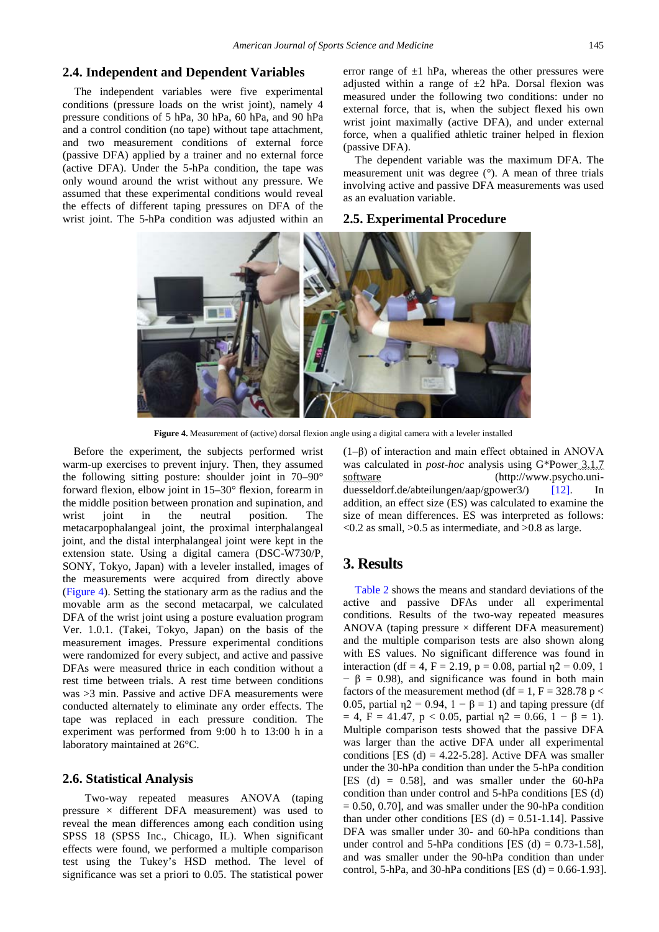#### **2.4. Independent and Dependent Variables**

The independent variables were five experimental conditions (pressure loads on the wrist joint), namely 4 pressure conditions of 5 hPa, 30 hPa, 60 hPa, and 90 hPa and a control condition (no tape) without tape attachment, and two measurement conditions of external force (passive DFA) applied by a trainer and no external force (active DFA). Under the 5-hPa condition, the tape was only wound around the wrist without any pressure. We assumed that these experimental conditions would reveal the effects of different taping pressures on DFA of the wrist joint. The 5-hPa condition was adjusted within an error range of  $\pm 1$  hPa, whereas the other pressures were adjusted within a range of  $\pm 2$  hPa. Dorsal flexion was measured under the following two conditions: under no external force, that is, when the subject flexed his own wrist joint maximally (active DFA), and under external force, when a qualified athletic trainer helped in flexion (passive DFA).

The dependent variable was the maximum DFA. The measurement unit was degree (°). A mean of three trials involving active and passive DFA measurements was used as an evaluation variable.

### **2.5. Experimental Procedure**



**Figure 4.** Measurement of (active) dorsal flexion angle using a digital camera with a leveler installed

Before the experiment, the subjects performed wrist warm-up exercises to prevent injury. Then, they assumed the following sitting posture: shoulder joint in 70–90° forward flexion, elbow joint in 15–30° flexion, forearm in the middle position between pronation and supination, and wrist joint in the neutral position. The metacarpophalangeal joint, the proximal interphalangeal joint, and the distal interphalangeal joint were kept in the extension state. Using a digital camera (DSC-W730/P, SONY, Tokyo, Japan) with a leveler installed, images of the measurements were acquired from directly above (Figure 4). Setting the stationary arm as the radius and the movable arm as the second metacarpal, we calculated DFA of the wrist joint using a posture evaluation program Ver. 1.0.1. (Takei, Tokyo, Japan) on the basis of the measurement images. Pressure experimental conditions were randomized for every subject, and active and passive DFAs were measured thrice in each condition without a rest time between trials. A rest time between conditions was >3 min. Passive and active DFA measurements were conducted alternately to eliminate any order effects. The tape was replaced in each pressure condition. The experiment was performed from 9:00 h to 13:00 h in a laboratory maintained at 26°C.

#### **2.6. Statistical Analysis**

Two-way repeated measures ANOVA (taping pressure  $\times$  different DFA measurement) was used to reveal the mean differences among each condition using SPSS 18 (SPSS Inc., Chicago, IL). When significant effects were found, we performed a multiple comparison test using the Tukey's HSD method. The level of significance was set a priori to 0.05. The statistical power (1–β) of interaction and main effect obtained in ANOVA was calculated in *post-hoc* analysis using G\*Power 3.1.7 software (http://www.psycho.uniduesseldorf.de/abteilungen/aap/gpower3/) [\[12\].](#page-4-9) In addition, an effect size (ES) was calculated to examine the size of mean differences. ES was interpreted as follows:  $\langle 0.2 \text{ as small}, \rangle 0.5$  as intermediate, and  $\langle 0.8 \text{ as large.} \rangle$ 

## **3. Results**

[Table 2](#page-3-0) shows the means and standard deviations of the active and passive DFAs under all experimental conditions. Results of the two-way repeated measures ANOVA (taping pressure  $\times$  different DFA measurement) and the multiple comparison tests are also shown along with ES values. No significant difference was found in interaction (df = 4, F = 2.19, p = 0.08, partial  $\eta$ 2 = 0.09, 1  $- \beta = 0.98$ , and significance was found in both main factors of the measurement method (df = 1, F = 328.78 p < 0.05, partial  $\eta$ 2 = 0.94, 1 –  $\beta$  = 1) and taping pressure (df  $= 4$ , F = 41.47, p < 0.05, partial  $\eta$ 2 = 0.66, 1 –  $\beta$  = 1). Multiple comparison tests showed that the passive DFA was larger than the active DFA under all experimental conditions [ES (d) =  $4.22 - 5.28$ ]. Active DFA was smaller under the 30-hPa condition than under the 5-hPa condition [ES (d) =  $0.58$ ], and was smaller under the  $60-hPa$ condition than under control and 5-hPa conditions [ES (d)  $= 0.50, 0.70$ , and was smaller under the 90-hPa condition than under other conditions [ES (d)  $= 0.51$ -1.14]. Passive DFA was smaller under 30- and 60-hPa conditions than under control and 5-hPa conditions [ES (d) =  $0.73$ -1.58], and was smaller under the 90-hPa condition than under control, 5-hPa, and 30-hPa conditions [ES (d) =  $0.66-1.93$ ].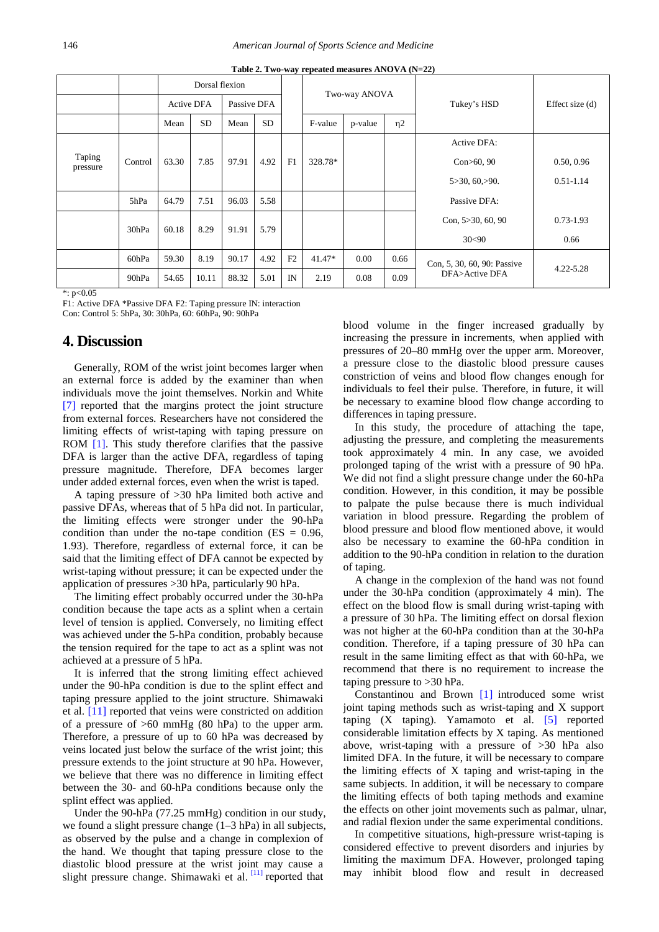<span id="page-3-0"></span>

|                    |               | Dorsal flexion    |           |             |           |    | Two-way ANOVA |         |                        |                             |                 |
|--------------------|---------------|-------------------|-----------|-------------|-----------|----|---------------|---------|------------------------|-----------------------------|-----------------|
|                    |               | <b>Active DFA</b> |           | Passive DFA |           |    |               |         |                        | Tukey's HSD                 | Effect size (d) |
|                    |               | Mean              | <b>SD</b> | Mean        | <b>SD</b> |    | F-value       | p-value | $\eta$ 2               |                             |                 |
|                    |               |                   |           |             |           |    |               |         |                        | Active DFA:                 |                 |
| Taping<br>pressure | Control       | 63.30             | 7.85      | 97.91       | 4.92      | F1 | 328.78*       |         |                        | Con>60, 90                  | 0.50, 0.96      |
|                    |               |                   |           |             |           |    |               |         |                        | 5 > 30, 60 > 90.            | $0.51 - 1.14$   |
|                    | 5hPa          | 64.79             | 7.51      | 96.03       | 5.58      |    |               |         |                        | Passive DFA:                |                 |
| 30hPa              | 60.18<br>8.29 |                   | 91.91     | 5.79        |           |    |               |         | Con, $5 > 30$ , 60, 90 | $0.73 - 1.93$               |                 |
|                    |               |                   |           |             |           |    |               |         | 30<90                  | 0.66                        |                 |
|                    | 60hPa         | 59.30             | 8.19      | 90.17       | 4.92      | F2 | $41.47*$      | 0.00    | 0.66                   | Con, 5, 30, 60, 90: Passive | $4.22 - 5.28$   |
|                    | 90hPa         | 54.65             | 10.11     | 88.32       | 5.01      | IN | 2.19          | 0.08    | 0.09                   | DFA>Active DFA              |                 |

**Table 2. Two-way repeated measures ANOVA (N=22)**

 $*:\overline{p}$ <0.05

F1: Active DFA \*Passive DFA F2: Taping pressure IN: interaction Con: Control 5: 5hPa, 30: 30hPa, 60: 60hPa, 90: 90hPa

### **4. Discussion**

Generally, ROM of the wrist joint becomes larger when an external force is added by the examiner than when individuals move the joint themselves. Norkin and White [\[7\]](#page-4-5) reported that the margins protect the joint structure from external forces. Researchers have not considered the limiting effects of wrist-taping with taping pressure on ROM [\[1\].](#page-4-0) This study therefore clarifies that the passive DFA is larger than the active DFA, regardless of taping pressure magnitude. Therefore, DFA becomes larger under added external forces, even when the wrist is taped.

A taping pressure of >30 hPa limited both active and passive DFAs, whereas that of 5 hPa did not. In particular, the limiting effects were stronger under the 90-hPa condition than under the no-tape condition ( $ES = 0.96$ , 1.93). Therefore, regardless of external force, it can be said that the limiting effect of DFA cannot be expected by wrist-taping without pressure; it can be expected under the application of pressures >30 hPa, particularly 90 hPa.

The limiting effect probably occurred under the 30-hPa condition because the tape acts as a splint when a certain level of tension is applied. Conversely, no limiting effect was achieved under the 5-hPa condition, probably because the tension required for the tape to act as a splint was not achieved at a pressure of 5 hPa.

It is inferred that the strong limiting effect achieved under the 90-hPa condition is due to the splint effect and taping pressure applied to the joint structure. Shimawaki et al. [\[11\]](#page-4-10) reported that veins were constricted on addition of a pressure of  $>60$  mmHg (80 hPa) to the upper arm. Therefore, a pressure of up to 60 hPa was decreased by veins located just below the surface of the wrist joint; this pressure extends to the joint structure at 90 hPa. However, we believe that there was no difference in limiting effect between the 30- and 60-hPa conditions because only the splint effect was applied.

Under the 90-hPa (77.25 mmHg) condition in our study, we found a slight pressure change (1–3 hPa) in all subjects, as observed by the pulse and a change in complexion of the hand. We thought that taping pressure close to the diastolic blood pressure at the wrist joint may cause a slight pressure change. Shimawaki et al.  $[11]$  reported that

blood volume in the finger increased gradually by increasing the pressure in increments, when applied with pressures of 20–80 mmHg over the upper arm. Moreover, a pressure close to the diastolic blood pressure causes constriction of veins and blood flow changes enough for individuals to feel their pulse. Therefore, in future, it will be necessary to examine blood flow change according to differences in taping pressure.

In this study, the procedure of attaching the tape, adjusting the pressure, and completing the measurements took approximately 4 min. In any case, we avoided prolonged taping of the wrist with a pressure of 90 hPa. We did not find a slight pressure change under the 60-hPa condition. However, in this condition, it may be possible to palpate the pulse because there is much individual variation in blood pressure. Regarding the problem of blood pressure and blood flow mentioned above, it would also be necessary to examine the 60-hPa condition in addition to the 90-hPa condition in relation to the duration of taping.

A change in the complexion of the hand was not found under the 30-hPa condition (approximately 4 min). The effect on the blood flow is small during wrist-taping with a pressure of 30 hPa. The limiting effect on dorsal flexion was not higher at the 60-hPa condition than at the 30-hPa condition. Therefore, if a taping pressure of 30 hPa can result in the same limiting effect as that with 60-hPa, we recommend that there is no requirement to increase the taping pressure to >30 hPa.

Constantinou and Brown [\[1\]](#page-4-0) introduced some wrist joint taping methods such as wrist-taping and X support taping  $(X \text{ taping})$ . Yamamoto et al.  $[5]$  reported considerable limitation effects by X taping. As mentioned above, wrist-taping with a pressure of >30 hPa also limited DFA. In the future, it will be necessary to compare the limiting effects of X taping and wrist-taping in the same subjects. In addition, it will be necessary to compare the limiting effects of both taping methods and examine the effects on other joint movements such as palmar, ulnar, and radial flexion under the same experimental conditions.

In competitive situations, high-pressure wrist-taping is considered effective to prevent disorders and injuries by limiting the maximum DFA. However, prolonged taping may inhibit blood flow and result in decreased